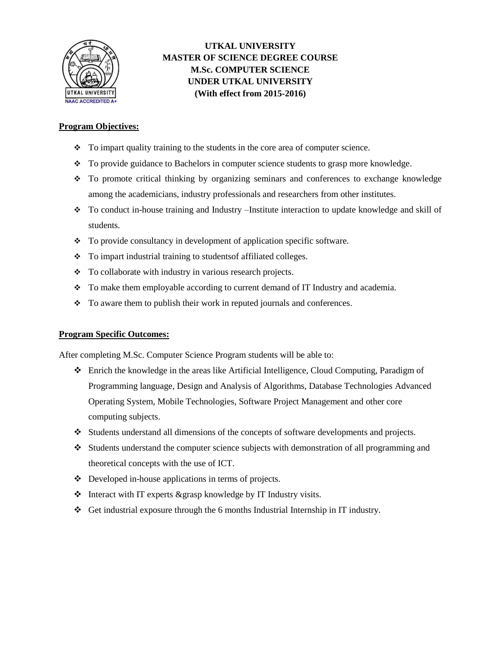

## **UTKAL UNIVERSITY MASTER OF SCIENCE DEGREE COURSE M.Sc. COMPUTER SCIENCE UNDER UTKAL UNIVERSITY (With effect from 2015-2016)**

#### **Program Objectives:**

- To impart quality training to the students in the core area of computer science.
- To provide guidance to Bachelors in computer science students to grasp more knowledge.
- To promote critical thinking by organizing seminars and conferences to exchange knowledge among the academicians, industry professionals and researchers from other institutes.
- To conduct in-house training and Industry –Institute interaction to update knowledge and skill of students.
- To provide consultancy in development of application specific software.
- To impart industrial training to studentsof affiliated colleges.
- To collaborate with industry in various research projects.
- \* To make them employable according to current demand of IT Industry and academia.
- $\div$  To aware them to publish their work in reputed journals and conferences.

#### **Program Specific Outcomes:**

After completing M.Sc. Computer Science Program students will be able to:

- Enrich the knowledge in the areas like Artificial Intelligence, Cloud Computing, Paradigm of Programming language, Design and Analysis of Algorithms, Database Technologies Advanced Operating System, Mobile Technologies, Software Project Management and other core computing subjects.
- Students understand all dimensions of the concepts of software developments and projects.
- Students understand the computer science subjects with demonstration of all programming and theoretical concepts with the use of ICT.
- Developed in-house applications in terms of projects.
- $\triangleleft$  Interact with IT experts &grasp knowledge by IT Industry visits.
- Get industrial exposure through the 6 months Industrial Internship in IT industry.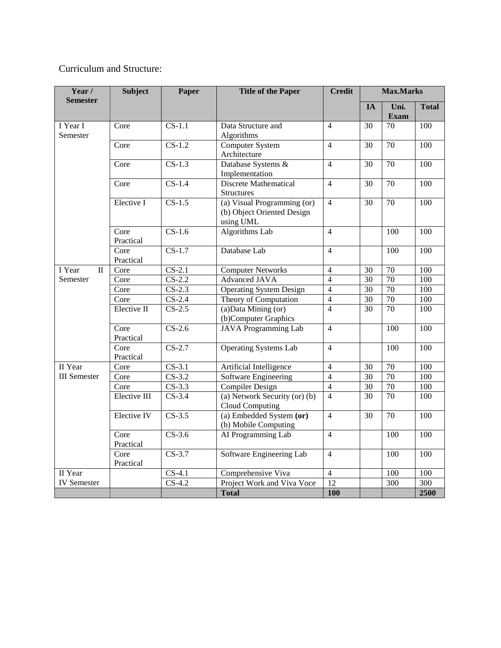# Curriculum and Structure:

| Year /<br><b>Semester</b>         | <b>Subject</b>     | Paper                      | <b>Title of the Paper</b>      | <b>Credit</b>  | <b>Max.Marks</b> |                     |                  |
|-----------------------------------|--------------------|----------------------------|--------------------------------|----------------|------------------|---------------------|------------------|
|                                   |                    |                            |                                |                | <b>IA</b>        | Uni.<br><b>Exam</b> | <b>Total</b>     |
| I Year I                          | Core               | $CS-1.1$                   | Data Structure and             | $\overline{4}$ | $\overline{30}$  | $\overline{70}$     | 100              |
| Semester                          |                    |                            | Algorithms                     |                |                  |                     |                  |
|                                   | Core               | $\overline{\text{CS-1.2}}$ | Computer System                | $\overline{4}$ | 30               | 70                  | 100              |
|                                   |                    |                            | Architecture                   |                |                  |                     |                  |
|                                   | Core               | $CS-1.3$                   | Database Systems &             | $\overline{4}$ | $\overline{30}$  | 70                  | 100              |
|                                   |                    |                            | Implementation                 |                |                  |                     |                  |
|                                   | Core               | $CS-1.4$                   | <b>Discrete Mathematical</b>   | $\overline{4}$ | 30               | $\overline{70}$     | $\overline{100}$ |
|                                   |                    |                            | <b>Structures</b>              |                |                  |                     |                  |
|                                   | Elective I         | $CS-1.5$                   | (a) Visual Programming (or)    | $\overline{4}$ | 30               | $\overline{70}$     | 100              |
|                                   |                    |                            | (b) Object Oriented Design     |                |                  |                     |                  |
|                                   |                    |                            | using UML                      |                |                  |                     |                  |
|                                   | Core               | $\overline{\text{CS-1.6}}$ | <b>Algorithms Lab</b>          | $\overline{4}$ |                  | 100                 | 100              |
|                                   | Practical          |                            |                                |                |                  |                     |                  |
|                                   | Core               | $CS-1.7$                   | Database Lab                   | $\overline{4}$ |                  | 100                 | 100              |
|                                   | Practical          |                            |                                |                |                  |                     |                  |
| I Year<br>$\overline{\mathbf{u}}$ | Core               | $CS-2.1$                   | <b>Computer Networks</b>       | $\overline{4}$ | 30               | 70                  | 100              |
| Semester                          | Core               | $CS-2.2$                   | <b>Advanced JAVA</b>           | $\overline{4}$ | $\overline{30}$  | 70                  | 100              |
|                                   | Core               | $CS-2.3$                   | <b>Operating System Design</b> | $\overline{4}$ | 30               | $\overline{70}$     | 100              |
|                                   | Core               | $CS-2.4$                   | Theory of Computation          | $\overline{4}$ | 30               | 70                  | 100              |
|                                   | Elective II        | $CS-2.5$                   | (a) Data Mining (or)           | $\overline{4}$ | 30               | 70                  | 100              |
|                                   |                    |                            | (b)Computer Graphics           |                |                  |                     |                  |
|                                   | Core               | $CS-2.6$                   | <b>JAVA</b> Programming Lab    | $\overline{4}$ |                  | 100                 | 100              |
|                                   | Practical          |                            |                                |                |                  |                     |                  |
|                                   | Core               | $CS-2.7$                   | <b>Operating Systems Lab</b>   | $\overline{4}$ |                  | $\overline{100}$    | $\overline{100}$ |
|                                   | Practical          |                            |                                |                |                  |                     |                  |
| II Year                           | Core               | $CS-3.1$                   | Artificial Intelligence        | $\overline{4}$ | 30               | $70\,$              | 100              |
| <b>III</b> Semester               | Core               | $CS-3.2$                   | Software Engineering           | $\overline{4}$ | $\overline{30}$  | 70                  | 100              |
|                                   | Core               | $CS-3.3$                   | <b>Compiler Design</b>         | $\overline{4}$ | 30               | 70                  | 100              |
|                                   | Elective III       | $CS-3.4$                   | (a) Network Security (or) (b)  | $\overline{4}$ | 30               | 70                  | 100              |
|                                   |                    |                            | Cloud Computing                |                |                  |                     |                  |
|                                   | <b>Elective IV</b> | $CS-3.5$                   | (a) Embedded System (or)       | $\overline{4}$ | 30               | $\overline{70}$     | 100              |
|                                   |                    |                            | (b) Mobile Computing           |                |                  |                     |                  |
|                                   | Core<br>Practical  | $CS-3.6$                   | AI Programming Lab             | $\overline{4}$ |                  | 100                 | 100              |
|                                   | Core               | $CS-3.7$                   | Software Engineering Lab       | $\overline{4}$ |                  | 100                 | 100              |
|                                   | Practical          |                            |                                |                |                  |                     |                  |
| II Year                           |                    | $CS-4.1$                   | Comprehensive Viva             | $\overline{4}$ |                  | 100                 | 100              |
| <b>IV</b> Semester                |                    | $CS-4.2$                   | Project Work and Viva Voce     | 12             |                  | $\overline{300}$    | 300              |
|                                   |                    |                            | <b>Total</b>                   | 100            |                  |                     | 2500             |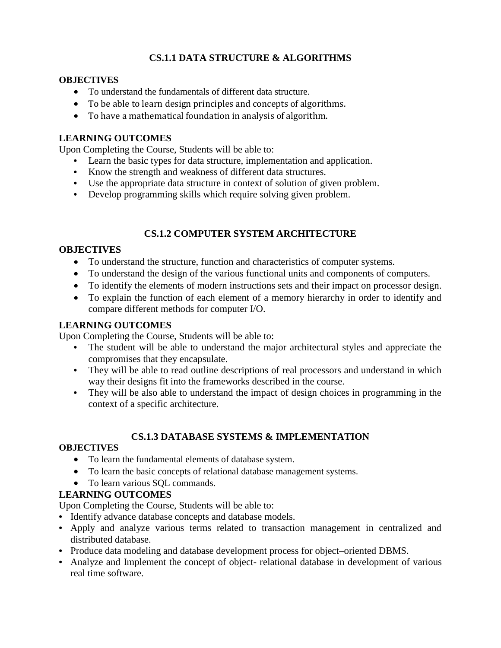# **CS.1.1 DATA STRUCTURE & ALGORITHMS**

#### **OBJECTIVES**

- To understand the fundamentals of different data structure.
- To be able to learn design principles and concepts of algorithms.
- To have a mathematical foundation in analysis of algorithm.

## **LEARNING OUTCOMES**

Upon Completing the Course, Students will be able to:

- **•** Learn the basic types for data structure, implementation and application.
- **•** Know the strength and weakness of different data structures.
- **•** Use the appropriate data structure in context of solution of given problem.
- Develop programming skills which require solving given problem.

## **CS.1.2 COMPUTER SYSTEM ARCHITECTURE**

## **OBJECTIVES**

- To understand the structure, function and characteristics of computer systems.
- To understand the design of the various functional units and components of computers.
- To identify the elements of modern instructions sets and their impact on processor design.
- To explain the function of each element of a memory hierarchy in order to identify and compare different methods for computer I/O.

### **LEARNING OUTCOMES**

Upon Completing the Course, Students will be able to:

- **•** The student will be able to understand the major architectural styles and appreciate the compromises that they encapsulate.
- They will be able to read outline descriptions of real processors and understand in which way their designs fit into the frameworks described in the course.
- **•** They will be also able to understand the impact of design choices in programming in the context of a specific architecture.

## **CS.1.3 DATABASE SYSTEMS & IMPLEMENTATION**

## **OBJECTIVES**

- To learn the fundamental elements of database system.
- To learn the basic concepts of relational database management systems.
- To learn various SOL commands.

## **LEARNING OUTCOMES**

- **•** Identify advance database concepts and database models.
- **•** Apply and analyze various terms related to transaction management in centralized and distributed database.
- **•** Produce data modeling and database development process for object–oriented DBMS.
- **•** Analyze and Implement the concept of object- relational database in development of various real time software.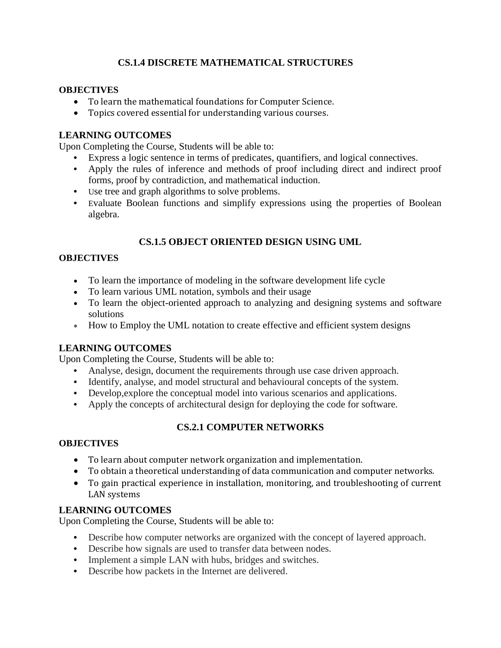# **CS.1.4 DISCRETE MATHEMATICAL STRUCTURES**

#### **OBJECTIVES**

- To learn the mathematical foundations for Computer Science.
- Topics covered essential for understanding various courses.

### **LEARNING OUTCOMES**

Upon Completing the Course, Students will be able to:

- **•** Express a logic sentence in terms of predicates, quantifiers, and logical connectives.
- **•** Apply the rules of inference and methods of proof including direct and indirect proof forms, proof by contradiction, and mathematical induction.
- **•** Use tree and graph algorithms to solve problems.
- **•** Evaluate Boolean functions and simplify expressions using the properties of Boolean algebra.

## **CS.1.5 OBJECT ORIENTED DESIGN USING UML**

### **OBJECTIVES**

- To learn the importance of modeling in the software development life cycle
- To learn various UML notation, symbols and their usage
- To learn the object-oriented approach to analyzing and designing systems and software solutions
- How to Employ the UML notation to create effective and efficient system designs

## **LEARNING OUTCOMES**

Upon Completing the Course, Students will be able to:

- **•** Analyse, design, document the requirements through use case driven approach.
- **•** Identify, analyse, and model structural and behavioural concepts of the system.
- **•** Develop,explore the conceptual model into various scenarios and applications.
- **•** Apply the concepts of architectural design for deploying the code for software.

## **CS.2.1 COMPUTER NETWORKS**

#### **OBJECTIVES**

- To learn about computer network organization and implementation.
- To obtain a theoretical understanding of data communication and computer networks.
- To gain practical experience in installation, monitoring, and troubleshooting of current LAN systems

## **LEARNING OUTCOMES**

- Describe how computer networks are organized with the concept of layered approach.
- **•** Describe how signals are used to transfer data between nodes.
- **•** Implement a simple LAN with hubs, bridges and switches.
- **•** Describe how packets in the Internet are delivered.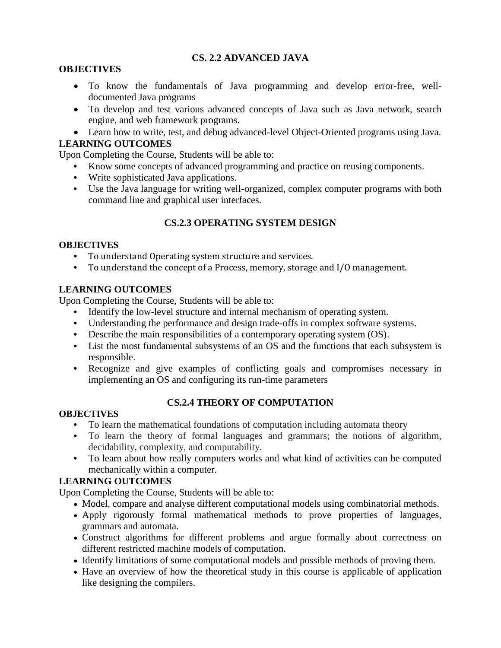## **CS. 2.2 ADVANCED JAVA**

## **OBJECTIVES**

- To know the fundamentals of Java programming and develop error-free, welldocumented Java programs
- To develop and test various advanced concepts of Java such as Java network, search engine, and web framework programs.
- Learn how to write, test, and debug advanced-level Object-Oriented programs using Java.

## **LEARNING OUTCOMES**

Upon Completing the Course, Students will be able to:

- **•** Know some concepts of advanced programming and practice on reusing components.
- **•** Write sophisticated Java applications.
- **•** Use the Java language for writing well-organized, complex computer programs with both command line and graphical user interfaces.

## **CS.2.3 OPERATING SYSTEM DESIGN**

#### **OBJECTIVES**

- **•** To understand Operating system structure and services.
- **•** To understand the concept of a Process, memory, storage and I/O management.

## **LEARNING OUTCOMES**

Upon Completing the Course, Students will be able to:

- **•** Identify the low-level structure and internal mechanism of operating system.
- **•** Understanding the performance and design trade-offs in complex software systems.
- **•** Describe the main responsibilities of a contemporary operating system (OS).
- **•** List the most fundamental subsystems of an OS and the functions that each subsystem is responsible.
- **•** Recognize and give examples of conflicting goals and compromises necessary in implementing an OS and configuring its run-time parameters

## **CS.2.4 THEORY OF COMPUTATION**

#### **OBJECTIVES**

- **•** To learn the mathematical foundations of computation including automata theory
- **•** To learn the theory of formal languages and grammars; the notions of algorithm, decidability, complexity, and computability.
- **•** To learn about how really computers works and what kind of activities can be computed mechanically within a computer.

## **LEARNING OUTCOMES**

- Model, compare and analyse different computational models using combinatorial methods.
- Apply rigorously formal mathematical methods to prove properties of languages, grammars and automata.
- Construct algorithms for different problems and argue formally about correctness on different restricted machine models of computation.
- Identify limitations of some computational models and possible methods of proving them.
- Have an overview of how the theoretical study in this course is applicable of application like designing the compilers.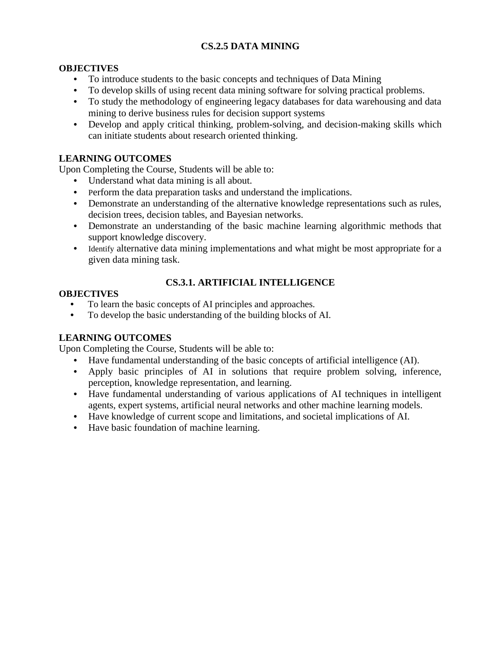# **CS.2.5 DATA MINING**

## **OBJECTIVES**

- **•** To introduce students to the basic concepts and techniques of Data Mining
- **•** To develop skills of using recent data mining software for solving practical problems.
- **•** To study the methodology of engineering legacy databases for data warehousing and data mining to derive business rules for decision support systems
- **•** Develop and apply critical thinking, problem-solving, and decision-making skills which can initiate students about research oriented thinking.

# **LEARNING OUTCOMES**

Upon Completing the Course, Students will be able to:

- **•** Understand what data mining is all about.
- **•** Perform the data preparation tasks and understand the implications.
- **•** Demonstrate an understanding of the alternative knowledge representations such as rules, decision trees, decision tables, and Bayesian networks.
- **•** Demonstrate an understanding of the basic machine learning algorithmic methods that support knowledge discovery.
- Identify alternative data mining implementations and what might be most appropriate for a given data mining task.

# **CS.3.1. ARTIFICIAL INTELLIGENCE**

### **OBJECTIVES**

- **•** To learn the basic concepts of AI principles and approaches.
- **•** To develop the basic understanding of the building blocks of AI.

# **LEARNING OUTCOMES**

- **•** Have fundamental understanding of the basic concepts of artificial intelligence (AI).
- **•** Apply basic principles of AI in solutions that require problem solving, inference, perception, knowledge representation, and learning.
- **•** Have fundamental understanding of various applications of AI techniques in intelligent agents, expert systems, artificial neural networks and other machine learning models.
- **•** Have knowledge of current scope and limitations, and societal implications of AI.
- **•** Have basic foundation of machine learning.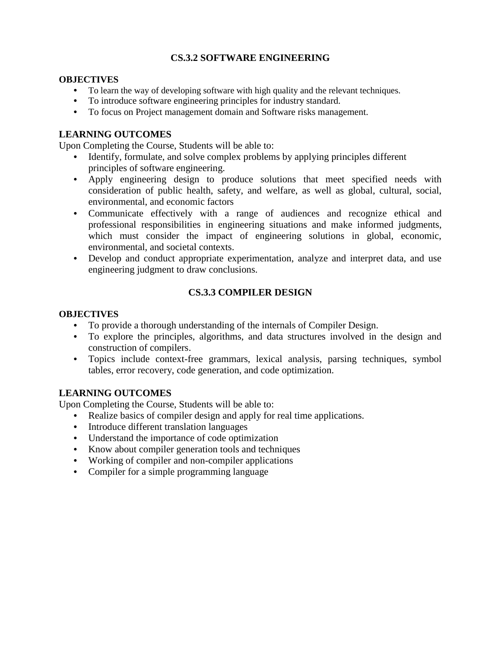## **CS.3.2 SOFTWARE ENGINEERING**

#### **OBJECTIVES**

- **•** To learn the way of developing software with high quality and the relevant techniques.
- **•** To introduce software engineering principles for industry standard.
- **•** To focus on Project management domain and Software risks management.

### **LEARNING OUTCOMES**

Upon Completing the Course, Students will be able to:

- **•** Identify, formulate, and solve complex problems by applying principles different principles of software engineering.
- **•** Apply engineering design to produce solutions that meet specified needs with consideration of public health, safety, and welfare, as well as global, cultural, social, environmental, and economic factors
- **•** Communicate effectively with a range of audiences and recognize ethical and professional responsibilities in engineering situations and make informed judgments, which must consider the impact of engineering solutions in global, economic, environmental, and societal contexts.
- **•** Develop and conduct appropriate experimentation, analyze and interpret data, and use engineering judgment to draw conclusions.

## **CS.3.3 COMPILER DESIGN**

#### **OBJECTIVES**

- **•** To provide a thorough understanding of the internals of Compiler Design.
- **•** To explore the principles, algorithms, and data structures involved in the design and construction of compilers.
- **•** Topics include context-free grammars, lexical analysis, parsing techniques, symbol tables, error recovery, code generation, and code optimization.

#### **LEARNING OUTCOMES**

- **•** Realize basics of compiler design and apply for real time applications.
- **•** Introduce different translation languages
- **•** Understand the importance of code optimization
- **•** Know about compiler generation tools and techniques
- **•** Working of compiler and non-compiler applications
- **•** Compiler for a simple programming language